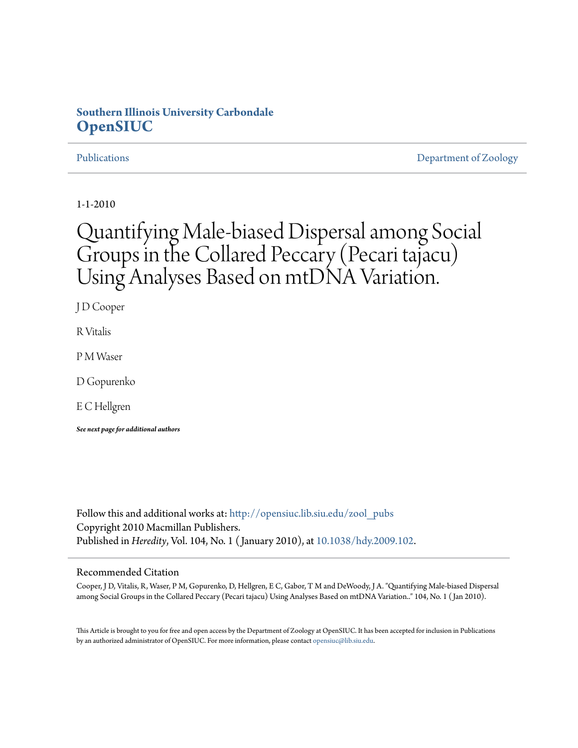## **Southern Illinois University Carbondale [OpenSIUC](http://opensiuc.lib.siu.edu?utm_source=opensiuc.lib.siu.edu%2Fzool_pubs%2F32&utm_medium=PDF&utm_campaign=PDFCoverPages)**

[Publications](http://opensiuc.lib.siu.edu/zool_pubs?utm_source=opensiuc.lib.siu.edu%2Fzool_pubs%2F32&utm_medium=PDF&utm_campaign=PDFCoverPages) **[Department of Zoology](http://opensiuc.lib.siu.edu/zool?utm_source=opensiuc.lib.siu.edu%2Fzool_pubs%2F32&utm_medium=PDF&utm_campaign=PDFCoverPages)** 

1-1-2010

# Quantifying Male-biased Dispersal among Social Groups in the Collared Peccary (Pecari tajacu) Using Analyses Based on mtDNA Variation.

J D Cooper

R Vitalis

P M Waser

D Gopurenko

E C Hellgren

*See next page for additional authors*

Follow this and additional works at: [http://opensiuc.lib.siu.edu/zool\\_pubs](http://opensiuc.lib.siu.edu/zool_pubs?utm_source=opensiuc.lib.siu.edu%2Fzool_pubs%2F32&utm_medium=PDF&utm_campaign=PDFCoverPages) Copyright 2010 Macmillan Publishers. Published in *Heredity*, Vol. 104, No. 1 ( January 2010), at [10.1038/hdy.2009.102](http://dx.doi.org/10.1038/hdy.2009.102).

#### Recommended Citation

Cooper, J D, Vitalis, R, Waser, P M, Gopurenko, D, Hellgren, E C, Gabor, T M and DeWoody, J A. "Quantifying Male-biased Dispersal among Social Groups in the Collared Peccary (Pecari tajacu) Using Analyses Based on mtDNA Variation.." 104, No. 1 ( Jan 2010).

This Article is brought to you for free and open access by the Department of Zoology at OpenSIUC. It has been accepted for inclusion in Publications by an authorized administrator of OpenSIUC. For more information, please contact [opensiuc@lib.siu.edu.](mailto:opensiuc@lib.siu.edu)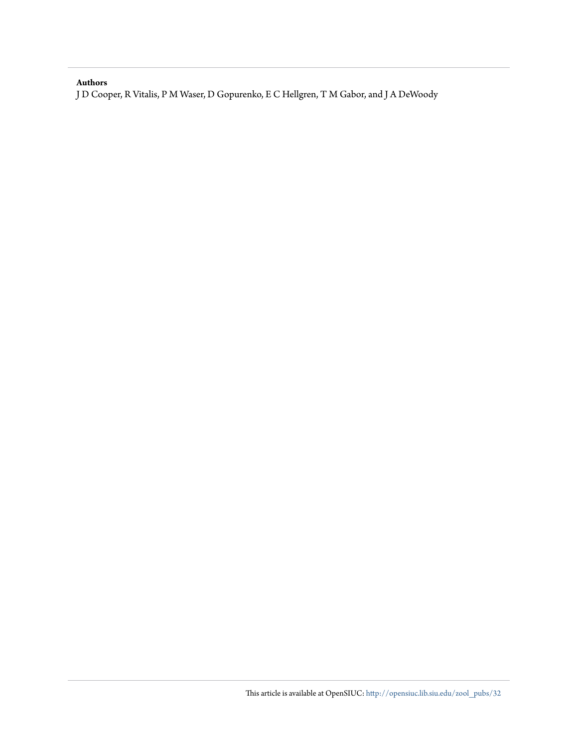#### **Authors**

J D Cooper, R Vitalis, P M Waser, D Gopurenko, E C Hellgren, T M Gabor, and J A DeWoody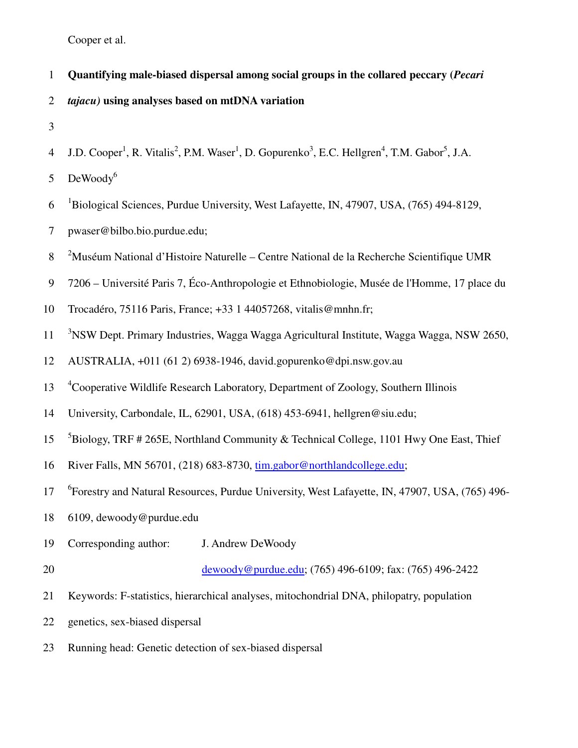- 1 **Quantifying male-biased dispersal among social groups in the collared peccary (***Pecari*  2 *tajacu)* **using analyses based on mtDNA variation**
- 3
- 4 J.D. Cooper<sup>1</sup>, R. Vitalis<sup>2</sup>, P.M. Waser<sup>1</sup>, D. Gopurenko<sup>3</sup>, E.C. Hellgren<sup>4</sup>, T.M. Gabor<sup>5</sup>, J.A.

 $DeWoodv<sup>6</sup>$ 5

- 6 <sup>1</sup>Biological Sciences, Purdue University, West Lafayette, IN, 47907, USA, (765) 494-8129,
- 7 pwaser@bilbo.bio.purdue.edu;
- 8 <sup>2</sup>Muséum National d'Histoire Naturelle Centre National de la Recherche Scientifique UMR
- 9 7206 Université Paris 7, Éco-Anthropologie et Ethnobiologie, Musée de l'Homme, 17 place du
- 10 Trocadéro, 75116 Paris, France; +33 1 44057268, vitalis@mnhn.fr;
- <sup>3</sup>NSW Dept. Primary Industries, Wagga Wagga Agricultural Institute, Wagga Wagga, NSW 2650,
- 12 AUSTRALIA, +011 (61 2) 6938-1946, david.gopurenko@dpi.nsw.gov.au
- <sup>4</sup> Cooperative Wildlife Research Laboratory, Department of Zoology, Southern Illinois
- 14 University, Carbondale, IL, 62901, USA, (618) 453-6941, hellgren@siu.edu;
- <sup>5</sup>Biology, TRF # 265E, Northland Community & Technical College, 1101 Hwy One East, Thief
- 16 River Falls, MN 56701, (218) 683-8730, tim.gabor@northlandcollege.edu;
- <sup>6</sup>Forestry and Natural Resources, Purdue University, West Lafayette, IN, 47907, USA, (765) 496-
- 18 6109, dewoody@purdue.edu
- 19 Corresponding author: J. Andrew DeWoody

20 dewoody@purdue.edu; (765) 496-6109; fax: (765) 496-2422

- 21 Keywords: F-statistics, hierarchical analyses, mitochondrial DNA, philopatry, population
- 22 genetics, sex-biased dispersal
- 23 Running head: Genetic detection of sex-biased dispersal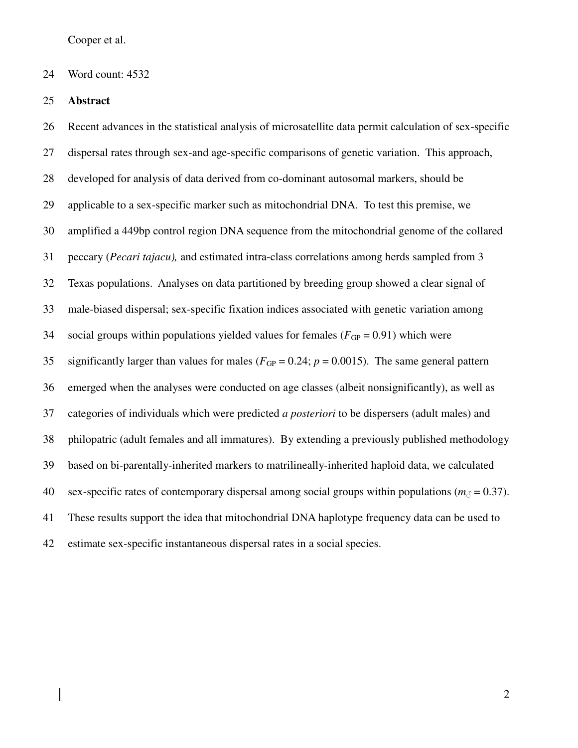#### 24 Word count: 4532

#### 25 **Abstract**

26 Recent advances in the statistical analysis of microsatellite data permit calculation of sex-specific 27 dispersal rates through sex-and age-specific comparisons of genetic variation. This approach, 28 developed for analysis of data derived from co-dominant autosomal markers, should be 29 applicable to a sex-specific marker such as mitochondrial DNA. To test this premise, we 30 amplified a 449bp control region DNA sequence from the mitochondrial genome of the collared 31 peccary (*Pecari tajacu),* and estimated intra-class correlations among herds sampled from 3 32 Texas populations. Analyses on data partitioned by breeding group showed a clear signal of 33 male-biased dispersal; sex-specific fixation indices associated with genetic variation among 34 social groups within populations yielded values for females  $(F_{GP} = 0.91)$  which were 35 significantly larger than values for males ( $F_{GP} = 0.24$ ;  $p = 0.0015$ ). The same general pattern 36 emerged when the analyses were conducted on age classes (albeit nonsignificantly), as well as 37 categories of individuals which were predicted *a posteriori* to be dispersers (adult males) and 38 philopatric (adult females and all immatures). By extending a previously published methodology 39 based on bi-parentally-inherited markers to matrilineally-inherited haploid data, we calculated 40 sex-specific rates of contemporary dispersal among social groups within populations ( $m<sub>\beta</sub> = 0.37$ ). 41 These results support the idea that mitochondrial DNA haplotype frequency data can be used to 42 estimate sex-specific instantaneous dispersal rates in a social species.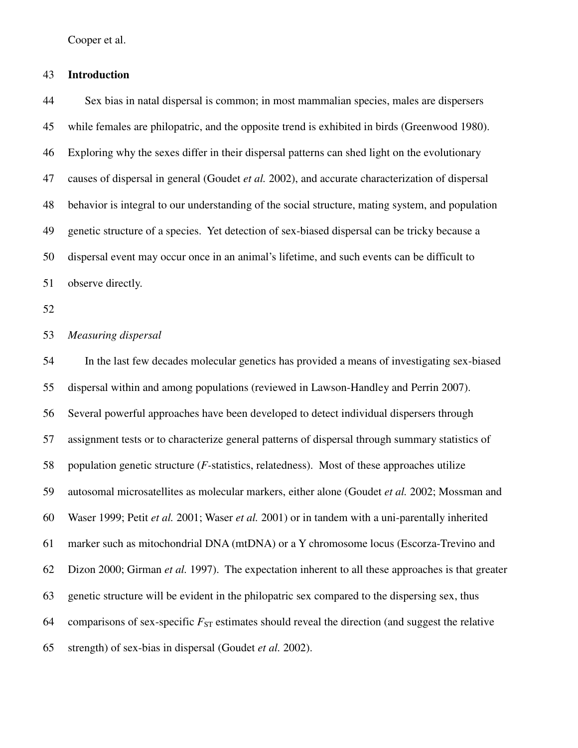#### 43 **Introduction**

44 Sex bias in natal dispersal is common; in most mammalian species, males are dispersers 45 while females are philopatric, and the opposite trend is exhibited in birds (Greenwood 1980). 46 Exploring why the sexes differ in their dispersal patterns can shed light on the evolutionary 47 causes of dispersal in general (Goudet *et al.* 2002), and accurate characterization of dispersal 48 behavior is integral to our understanding of the social structure, mating system, and population 49 genetic structure of a species. Yet detection of sex-biased dispersal can be tricky because a 50 dispersal event may occur once in an animal's lifetime, and such events can be difficult to 51 observe directly.

52

#### 53 *Measuring dispersal*

54 In the last few decades molecular genetics has provided a means of investigating sex-biased 55 dispersal within and among populations (reviewed in Lawson-Handley and Perrin 2007). 56 Several powerful approaches have been developed to detect individual dispersers through 57 assignment tests or to characterize general patterns of dispersal through summary statistics of 58 population genetic structure (*F-*statistics, relatedness). Most of these approaches utilize 59 autosomal microsatellites as molecular markers, either alone (Goudet *et al.* 2002; Mossman and 60 Waser 1999; Petit *et al.* 2001; Waser *et al.* 2001) or in tandem with a uni-parentally inherited 61 marker such as mitochondrial DNA (mtDNA) or a Y chromosome locus (Escorza-Trevino and 62 Dizon 2000; Girman *et al.* 1997). The expectation inherent to all these approaches is that greater 63 genetic structure will be evident in the philopatric sex compared to the dispersing sex, thus 64 comparisons of sex-specific  $F_{ST}$  estimates should reveal the direction (and suggest the relative 65 strength) of sex-bias in dispersal (Goudet *et al.* 2002).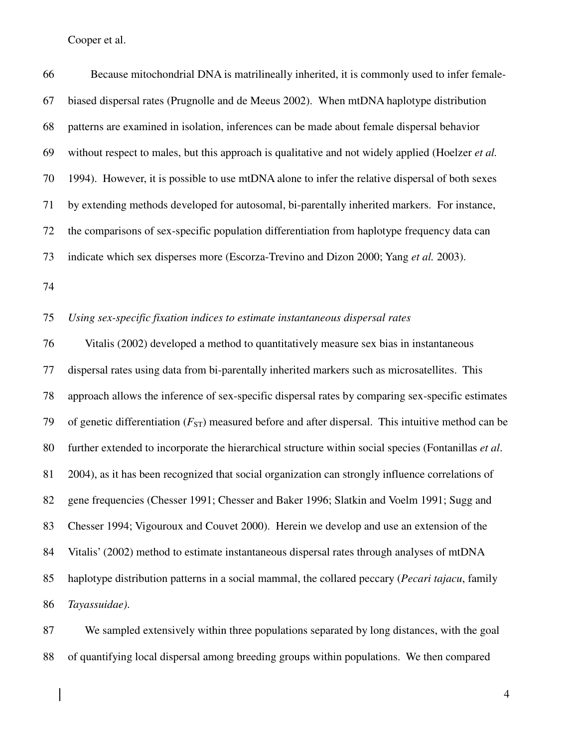66 Because mitochondrial DNA is matrilineally inherited, it is commonly used to infer female-67 biased dispersal rates (Prugnolle and de Meeus 2002). When mtDNA haplotype distribution 68 patterns are examined in isolation, inferences can be made about female dispersal behavior 69 without respect to males, but this approach is qualitative and not widely applied (Hoelzer *et al.* 70 1994). However, it is possible to use mtDNA alone to infer the relative dispersal of both sexes 71 by extending methods developed for autosomal, bi-parentally inherited markers. For instance, 72 the comparisons of sex-specific population differentiation from haplotype frequency data can 73 indicate which sex disperses more (Escorza-Trevino and Dizon 2000; Yang *et al.* 2003).

74

#### 75 *Using sex-specific fixation indices to estimate instantaneous dispersal rates*

76 Vitalis (2002) developed a method to quantitatively measure sex bias in instantaneous 77 dispersal rates using data from bi-parentally inherited markers such as microsatellites. This 78 approach allows the inference of sex-specific dispersal rates by comparing sex-specific estimates 79 of genetic differentiation  $(F_{ST})$  measured before and after dispersal. This intuitive method can be 80 further extended to incorporate the hierarchical structure within social species (Fontanillas *et al*. 81 2004), as it has been recognized that social organization can strongly influence correlations of 82 gene frequencies (Chesser 1991; Chesser and Baker 1996; Slatkin and Voelm 1991; Sugg and 83 Chesser 1994; Vigouroux and Couvet 2000). Herein we develop and use an extension of the 84 Vitalis' (2002) method to estimate instantaneous dispersal rates through analyses of mtDNA 85 haplotype distribution patterns in a social mammal, the collared peccary (*Pecari tajacu*, family 86 *Tayassuidae)*.

87 We sampled extensively within three populations separated by long distances, with the goal 88 of quantifying local dispersal among breeding groups within populations. We then compared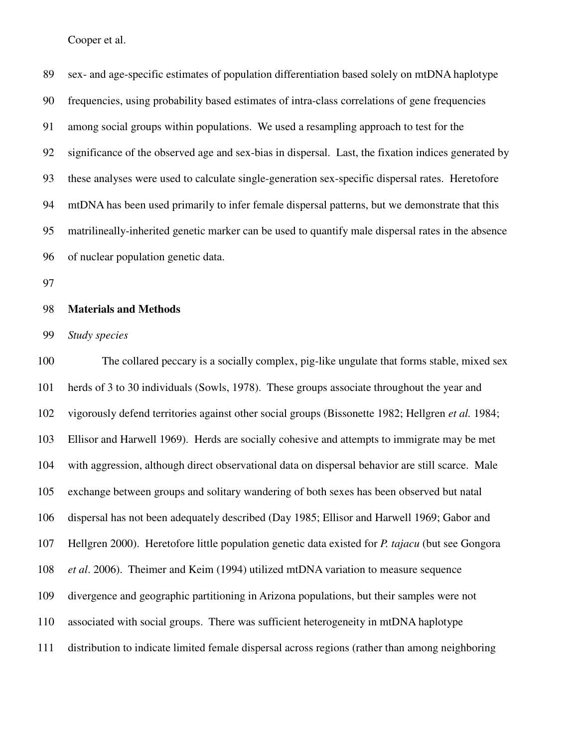89 sex- and age-specific estimates of population differentiation based solely on mtDNA haplotype 90 frequencies, using probability based estimates of intra-class correlations of gene frequencies 91 among social groups within populations. We used a resampling approach to test for the 92 significance of the observed age and sex-bias in dispersal. Last, the fixation indices generated by 93 these analyses were used to calculate single-generation sex-specific dispersal rates. Heretofore 94 mtDNA has been used primarily to infer female dispersal patterns, but we demonstrate that this 95 matrilineally-inherited genetic marker can be used to quantify male dispersal rates in the absence 96 of nuclear population genetic data.

97

#### 98 **Materials and Methods**

99 *Study species* 

100 The collared peccary is a socially complex, pig-like ungulate that forms stable, mixed sex 101 herds of 3 to 30 individuals (Sowls, 1978). These groups associate throughout the year and 102 vigorously defend territories against other social groups (Bissonette 1982; Hellgren *et al.* 1984; 103 Ellisor and Harwell 1969). Herds are socially cohesive and attempts to immigrate may be met 104 with aggression, although direct observational data on dispersal behavior are still scarce. Male 105 exchange between groups and solitary wandering of both sexes has been observed but natal 106 dispersal has not been adequately described (Day 1985; Ellisor and Harwell 1969; Gabor and 107 Hellgren 2000). Heretofore little population genetic data existed for *P. tajacu* (but see Gongora 108 *et al*. 2006). Theimer and Keim (1994) utilized mtDNA variation to measure sequence 109 divergence and geographic partitioning in Arizona populations, but their samples were not 110 associated with social groups. There was sufficient heterogeneity in mtDNA haplotype 111 distribution to indicate limited female dispersal across regions (rather than among neighboring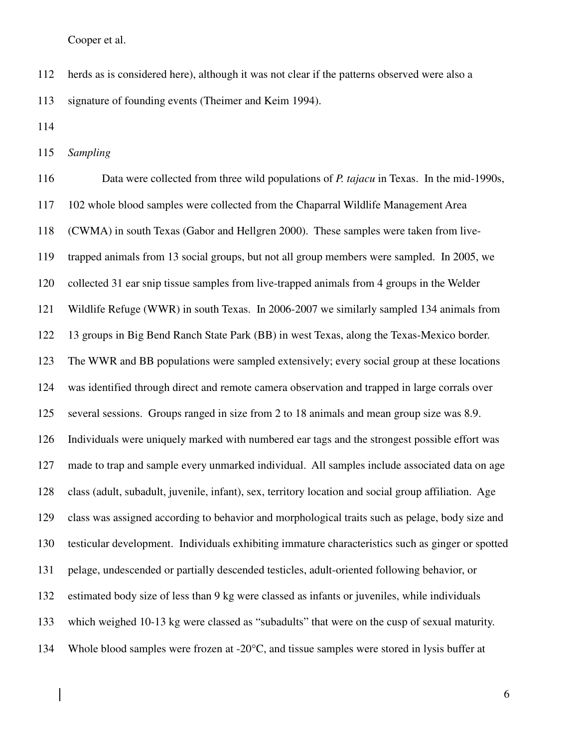112 herds as is considered here), although it was not clear if the patterns observed were also a

113 signature of founding events (Theimer and Keim 1994).

114

115 *Sampling* 

116 Data were collected from three wild populations of *P. tajacu* in Texas. In the mid-1990s, 117 102 whole blood samples were collected from the Chaparral Wildlife Management Area 118 (CWMA) in south Texas (Gabor and Hellgren 2000). These samples were taken from live-119 trapped animals from 13 social groups, but not all group members were sampled. In 2005, we 120 collected 31 ear snip tissue samples from live-trapped animals from 4 groups in the Welder 121 Wildlife Refuge (WWR) in south Texas. In 2006-2007 we similarly sampled 134 animals from 122 13 groups in Big Bend Ranch State Park (BB) in west Texas, along the Texas-Mexico border. 123 The WWR and BB populations were sampled extensively; every social group at these locations 124 was identified through direct and remote camera observation and trapped in large corrals over 125 several sessions. Groups ranged in size from 2 to 18 animals and mean group size was 8.9. 126 Individuals were uniquely marked with numbered ear tags and the strongest possible effort was 127 made to trap and sample every unmarked individual. All samples include associated data on age 128 class (adult, subadult, juvenile, infant), sex, territory location and social group affiliation. Age 129 class was assigned according to behavior and morphological traits such as pelage, body size and 130 testicular development. Individuals exhibiting immature characteristics such as ginger or spotted 131 pelage, undescended or partially descended testicles, adult-oriented following behavior, or 132 estimated body size of less than 9 kg were classed as infants or juveniles, while individuals 133 which weighed 10-13 kg were classed as "subadults" that were on the cusp of sexual maturity. 134 Whole blood samples were frozen at -20°C, and tissue samples were stored in lysis buffer at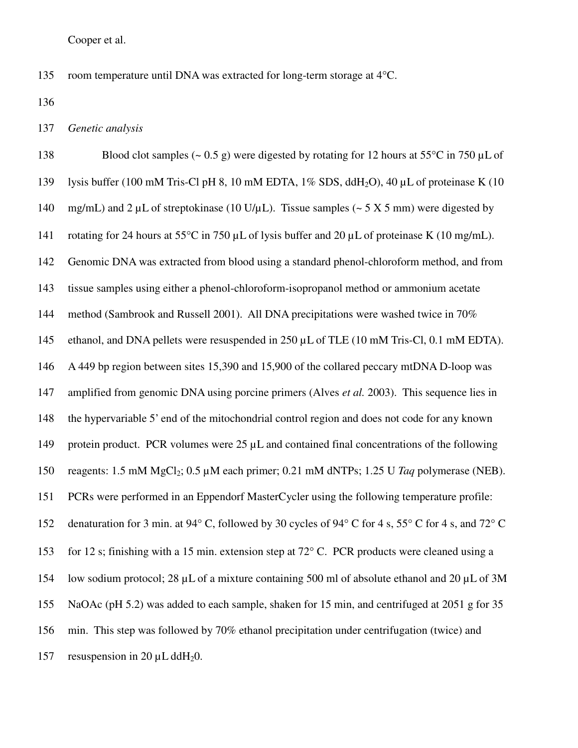135 room temperature until DNA was extracted for long-term storage at 4°C.

136

137 *Genetic analysis* 

138 Blood clot samples  $(-0.5 \text{ g})$  were digested by rotating for 12 hours at 55<sup>o</sup>C in 750 µL of 139 lysis buffer (100 mM Tris-Cl pH 8, 10 mM EDTA, 1% SDS, ddH<sub>2</sub>O), 40 µL of proteinase K (10 140 mg/mL) and 2  $\mu$ L of streptokinase (10 U/ $\mu$ L). Tissue samples (~ 5 X 5 mm) were digested by 141 rotating for 24 hours at 55°C in 750 µL of lysis buffer and 20 µL of proteinase K (10 mg/mL). 142 Genomic DNA was extracted from blood using a standard phenol-chloroform method, and from 143 tissue samples using either a phenol-chloroform-isopropanol method or ammonium acetate 144 method (Sambrook and Russell 2001). All DNA precipitations were washed twice in 70% 145 ethanol, and DNA pellets were resuspended in 250 µL of TLE (10 mM Tris-Cl, 0.1 mM EDTA). 146 A 449 bp region between sites 15,390 and 15,900 of the collared peccary mtDNA D-loop was 147 amplified from genomic DNA using porcine primers (Alves *et al.* 2003). This sequence lies in 148 the hypervariable 5' end of the mitochondrial control region and does not code for any known 149 protein product. PCR volumes were 25 µL and contained final concentrations of the following 150 reagents:  $1.5 \text{ mM } MgCl_2$ ;  $0.5 \mu \text{M}$  each primer;  $0.21 \text{ mM } dNTPs$ ;  $1.25 \text{ U } Taq$  polymerase (NEB). 151 PCRs were performed in an Eppendorf MasterCycler using the following temperature profile: 152 denaturation for 3 min. at 94° C, followed by 30 cycles of 94° C for 4 s, 55° C for 4 s, and 72° C 153 for 12 s; finishing with a 15 min. extension step at 72° C. PCR products were cleaned using a 154 low sodium protocol; 28 µL of a mixture containing 500 ml of absolute ethanol and 20 µL of 3M 155 NaOAc (pH 5.2) was added to each sample, shaken for 15 min, and centrifuged at 2051 g for 35 156 min. This step was followed by 70% ethanol precipitation under centrifugation (twice) and 157 resuspension in 20  $\mu$ L ddH<sub>2</sub>0.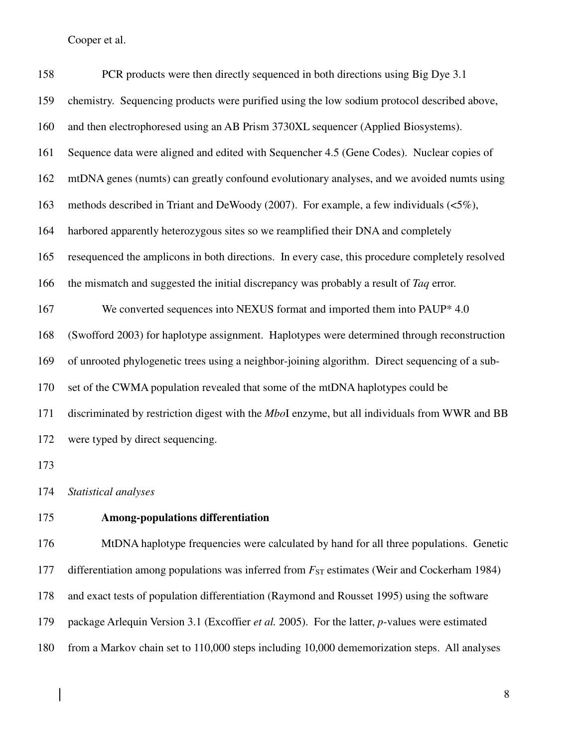$\overline{\phantom{a}}$ 

| 158 | PCR products were then directly sequenced in both directions using Big Dye 3.1                   |
|-----|--------------------------------------------------------------------------------------------------|
| 159 | chemistry. Sequencing products were purified using the low sodium protocol described above,      |
| 160 | and then electrophoresed using an AB Prism 3730XL sequencer (Applied Biosystems).                |
| 161 | Sequence data were aligned and edited with Sequencher 4.5 (Gene Codes). Nuclear copies of        |
| 162 | mtDNA genes (numts) can greatly confound evolutionary analyses, and we avoided numts using       |
| 163 | methods described in Triant and DeWoody (2007). For example, a few individuals $(\leq 5\%)$ ,    |
| 164 | harbored apparently heterozygous sites so we reamplified their DNA and completely                |
| 165 | resequenced the amplicons in both directions. In every case, this procedure completely resolved  |
| 166 | the mismatch and suggested the initial discrepancy was probably a result of Taq error.           |
| 167 | We converted sequences into NEXUS format and imported them into PAUP* 4.0                        |
| 168 | (Swofford 2003) for haplotype assignment. Haplotypes were determined through reconstruction      |
| 169 | of unrooted phylogenetic trees using a neighbor-joining algorithm. Direct sequencing of a sub-   |
| 170 | set of the CWMA population revealed that some of the mtDNA haplotypes could be                   |
| 171 | discriminated by restriction digest with the MboI enzyme, but all individuals from WWR and BB    |
| 172 | were typed by direct sequencing.                                                                 |
| 173 |                                                                                                  |
|     | 174 Statistical analyses                                                                         |
| 175 | <b>Among-populations differentiation</b>                                                         |
| 176 | MtDNA haplotype frequencies were calculated by hand for all three populations. Genetic           |
| 177 | differentiation among populations was inferred from $F_{ST}$ estimates (Weir and Cockerham 1984) |

- 178 and exact tests of population differentiation (Raymond and Rousset 1995) using the software
- 179 package Arlequin Version 3.1 (Excoffier *et al.* 2005). For the latter, *p*-values were estimated
- 180 from a Markov chain set to 110,000 steps including 10,000 dememorization steps. All analyses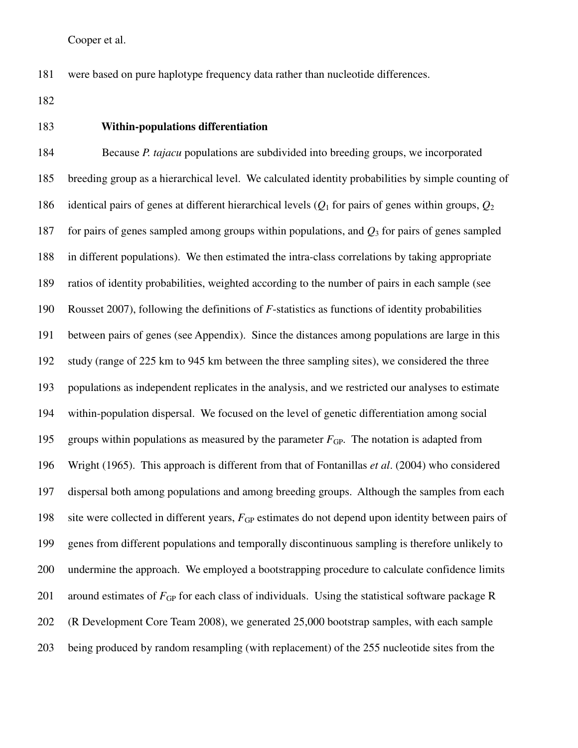181 were based on pure haplotype frequency data rather than nucleotide differences.

182

#### 183 **Within-populations differentiation**

184 Because *P. tajacu* populations are subdivided into breeding groups, we incorporated 185 breeding group as a hierarchical level. We calculated identity probabilities by simple counting of 186 identical pairs of genes at different hierarchical levels (*Q*1 for pairs of genes within groups, *Q*<sup>2</sup> 187 for pairs of genes sampled among groups within populations, and *Q*3 for pairs of genes sampled 188 in different populations). We then estimated the intra-class correlations by taking appropriate 189 ratios of identity probabilities, weighted according to the number of pairs in each sample (see 190 Rousset 2007), following the definitions of *F*-statistics as functions of identity probabilities 191 between pairs of genes (see Appendix). Since the distances among populations are large in this 192 study (range of 225 km to 945 km between the three sampling sites), we considered the three 193 populations as independent replicates in the analysis, and we restricted our analyses to estimate 194 within-population dispersal. We focused on the level of genetic differentiation among social 195 groups within populations as measured by the parameter  $F_{GP}$ . The notation is adapted from 196 Wright (1965). This approach is different from that of Fontanillas *et al*. (2004) who considered 197 dispersal both among populations and among breeding groups. Although the samples from each 198 site were collected in different years,  $F_{GP}$  estimates do not depend upon identity between pairs of 199 genes from different populations and temporally discontinuous sampling is therefore unlikely to 200 undermine the approach. We employed a bootstrapping procedure to calculate confidence limits 201 around estimates of  $F_{GP}$  for each class of individuals. Using the statistical software package R 202 (R Development Core Team 2008), we generated 25,000 bootstrap samples, with each sample 203 being produced by random resampling (with replacement) of the 255 nucleotide sites from the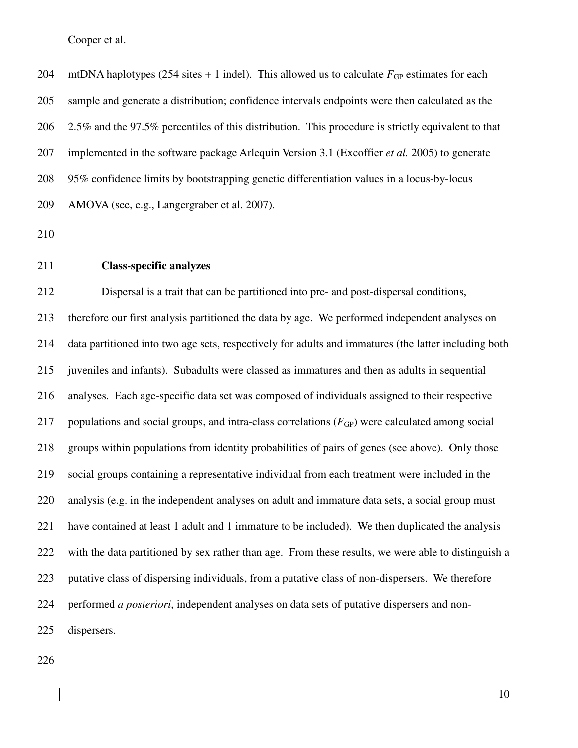204 mtDNA haplotypes (254 sites  $+ 1$  indel). This allowed us to calculate  $F_{GP}$  estimates for each 205 sample and generate a distribution; confidence intervals endpoints were then calculated as the 206 2.5% and the 97.5% percentiles of this distribution. This procedure is strictly equivalent to that 207 implemented in the software package Arlequin Version 3.1 (Excoffier *et al.* 2005) to generate 208 95% confidence limits by bootstrapping genetic differentiation values in a locus-by-locus 209 AMOVA (see, e.g., Langergraber et al. 2007).

210

211 **Class-specific analyzes** 

212 Dispersal is a trait that can be partitioned into pre- and post-dispersal conditions, 213 therefore our first analysis partitioned the data by age. We performed independent analyses on 214 data partitioned into two age sets, respectively for adults and immatures (the latter including both 215 juveniles and infants). Subadults were classed as immatures and then as adults in sequential 216 analyses. Each age-specific data set was composed of individuals assigned to their respective 217 populations and social groups, and intra-class correlations  $(F_{GP})$  were calculated among social 218 groups within populations from identity probabilities of pairs of genes (see above). Only those 219 social groups containing a representative individual from each treatment were included in the 220 analysis (e.g. in the independent analyses on adult and immature data sets, a social group must 221 have contained at least 1 adult and 1 immature to be included). We then duplicated the analysis 222 with the data partitioned by sex rather than age. From these results, we were able to distinguish a 223 putative class of dispersing individuals, from a putative class of non-dispersers. We therefore 224 performed *a posteriori*, independent analyses on data sets of putative dispersers and non-225 dispersers.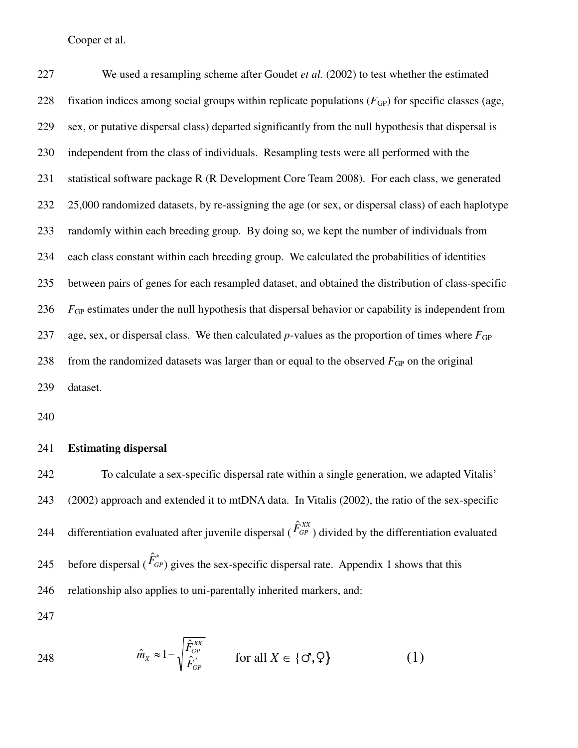227 We used a resampling scheme after Goudet *et al.* (2002) to test whether the estimated 228 fixation indices among social groups within replicate populations  $(F_{GP})$  for specific classes (age, 229 sex, or putative dispersal class) departed significantly from the null hypothesis that dispersal is 230 independent from the class of individuals. Resampling tests were all performed with the 231 statistical software package R (R Development Core Team 2008). For each class, we generated 232 25,000 randomized datasets, by re-assigning the age (or sex, or dispersal class) of each haplotype 233 randomly within each breeding group. By doing so, we kept the number of individuals from 234 each class constant within each breeding group. We calculated the probabilities of identities 235 between pairs of genes for each resampled dataset, and obtained the distribution of class-specific 236 *F*<sub>GP</sub> estimates under the null hypothesis that dispersal behavior or capability is independent from 237 age, sex, or dispersal class. We then calculated *p*-values as the proportion of times where  $F_{GP}$ 238 from the randomized datasets was larger than or equal to the observed  $F_{GP}$  on the original 239 dataset.

240

#### 241 **Estimating dispersal**

242 To calculate a sex-specific dispersal rate within a single generation, we adapted Vitalis' 243 (2002) approach and extended it to mtDNA data. In Vitalis (2002), the ratio of the sex-specific differentiation evaluated after juvenile dispersal ( $\hat{F}_{GP}^{XY}$ 244 differentiation evaluated after juvenile dispersal ( $\hat{F}_{GP}^{XX}$ ) divided by the differentiation evaluated before dispersal ( $\hat{F}_{GP}^*$ 245 before dispersal ( $\hat{F}_{GP}^*$ ) gives the sex-specific dispersal rate. Appendix 1 shows that this 246 relationship also applies to uni-parentally inherited markers, and:

248 
$$
\hat{m}_X \approx 1 - \sqrt{\frac{\hat{F}_{GP}^{XX}}{\hat{F}_{GP}^*}}
$$
 for all  $X \in \{\mathcal{O}, \mathcal{Q}\}$  (1)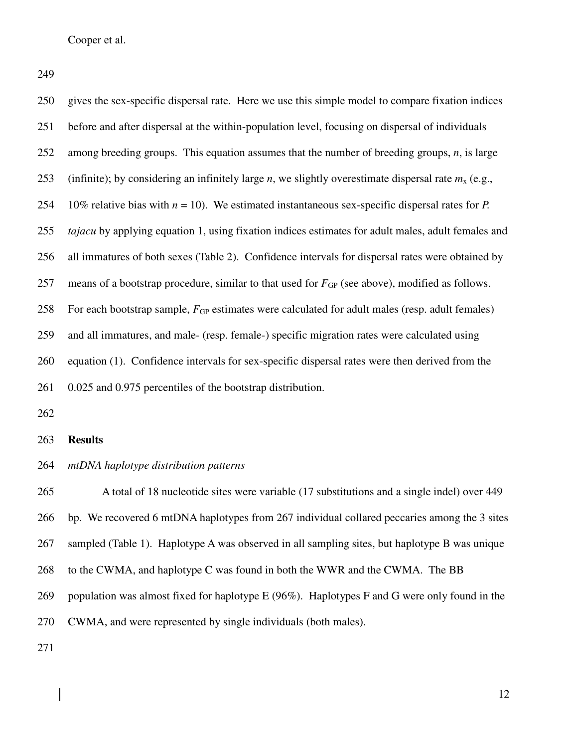249

| 250 | gives the sex-specific dispersal rate. Here we use this simple model to compare fixation indices              |
|-----|---------------------------------------------------------------------------------------------------------------|
| 251 | before and after dispersal at the within-population level, focusing on dispersal of individuals               |
| 252 | among breeding groups. This equation assumes that the number of breeding groups, $n$ , is large               |
| 253 | (infinite); by considering an infinitely large <i>n</i> , we slightly overestimate dispersal rate $mx$ (e.g., |
| 254 | 10% relative bias with $n = 10$ ). We estimated instantaneous sex-specific dispersal rates for P.             |
| 255 | <i>tajacu</i> by applying equation 1, using fixation indices estimates for adult males, adult females and     |
| 256 | all immatures of both sexes (Table 2). Confidence intervals for dispersal rates were obtained by              |
| 257 | means of a bootstrap procedure, similar to that used for $F_{GP}$ (see above), modified as follows.           |
| 258 | For each bootstrap sample, $F_{GP}$ estimates were calculated for adult males (resp. adult females)           |
| 259 | and all immatures, and male- (resp. female-) specific migration rates were calculated using                   |
| 260 | equation (1). Confidence intervals for sex-specific dispersal rates were then derived from the                |
| 261 | 0.025 and 0.975 percentiles of the bootstrap distribution.                                                    |

262

#### 263 **Results**

#### 264 *mtDNA haplotype distribution patterns*

265 A total of 18 nucleotide sites were variable (17 substitutions and a single indel) over 449 266 bp. We recovered 6 mtDNA haplotypes from 267 individual collared peccaries among the 3 sites 267 sampled (Table 1). Haplotype A was observed in all sampling sites, but haplotype B was unique 268 to the CWMA, and haplotype C was found in both the WWR and the CWMA. The BB 269 population was almost fixed for haplotype E (96%). Haplotypes F and G were only found in the 270 CWMA, and were represented by single individuals (both males).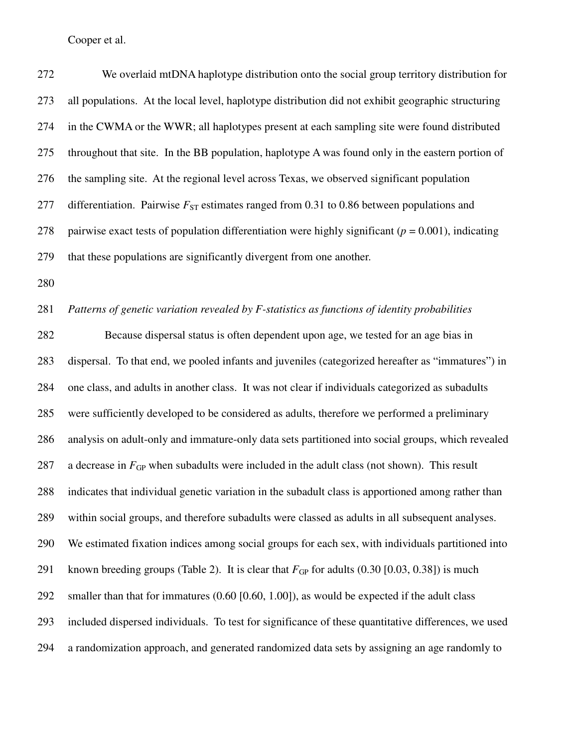272 We overlaid mtDNA haplotype distribution onto the social group territory distribution for 273 all populations. At the local level, haplotype distribution did not exhibit geographic structuring 274 in the CWMA or the WWR; all haplotypes present at each sampling site were found distributed 275 throughout that site. In the BB population, haplotype A was found only in the eastern portion of 276 the sampling site. At the regional level across Texas, we observed significant population 277 differentiation. Pairwise  $F_{ST}$  estimates ranged from 0.31 to 0.86 between populations and 278 pairwise exact tests of population differentiation were highly significant ( $p = 0.001$ ), indicating 279 that these populations are significantly divergent from one another. 280

281 *Patterns of genetic variation revealed by F-statistics as functions of identity probabilities* 

282 Because dispersal status is often dependent upon age, we tested for an age bias in 283 dispersal. To that end, we pooled infants and juveniles (categorized hereafter as "immatures") in 284 one class, and adults in another class. It was not clear if individuals categorized as subadults 285 were sufficiently developed to be considered as adults, therefore we performed a preliminary 286 analysis on adult-only and immature-only data sets partitioned into social groups, which revealed 287 a decrease in  $F_{GP}$  when subadults were included in the adult class (not shown). This result 288 indicates that individual genetic variation in the subadult class is apportioned among rather than 289 within social groups, and therefore subadults were classed as adults in all subsequent analyses. 290 We estimated fixation indices among social groups for each sex, with individuals partitioned into 291 known breeding groups (Table 2). It is clear that  $F_{GP}$  for adults (0.30 [0.03, 0.38]) is much 292 smaller than that for immatures (0.60 [0.60, 1.00]), as would be expected if the adult class 293 included dispersed individuals. To test for significance of these quantitative differences, we used 294 a randomization approach, and generated randomized data sets by assigning an age randomly to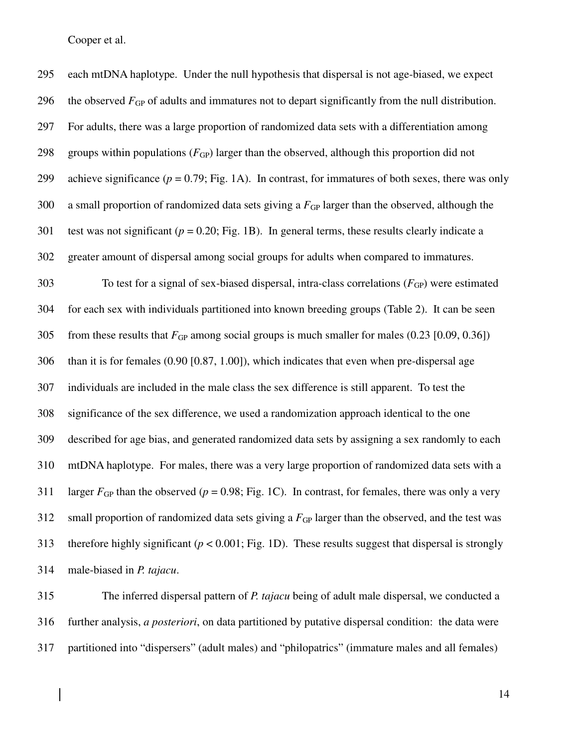295 each mtDNA haplotype. Under the null hypothesis that dispersal is not age-biased, we expect 296 the observed  $F_{GP}$  of adults and immatures not to depart significantly from the null distribution. 297 For adults, there was a large proportion of randomized data sets with a differentiation among 298 groups within populations  $(F_{GP})$  larger than the observed, although this proportion did not 299 achieve significance  $(p = 0.79; Fig. 1A)$ . In contrast, for immatures of both sexes, there was only 300 a small proportion of randomized data sets giving a  $F_{GP}$  larger than the observed, although the 301 test was not significant  $(p = 0.20;$  Fig. 1B). In general terms, these results clearly indicate a 302 greater amount of dispersal among social groups for adults when compared to immatures. 303 To test for a signal of sex-biased dispersal, intra-class correlations  $(F_{GP})$  were estimated 304 for each sex with individuals partitioned into known breeding groups (Table 2). It can be seen 305 from these results that  $F_{GP}$  among social groups is much smaller for males  $(0.23 \, [0.09, 0.36])$ 306 than it is for females (0.90 [0.87, 1.00]), which indicates that even when pre-dispersal age 307 individuals are included in the male class the sex difference is still apparent. To test the 308 significance of the sex difference, we used a randomization approach identical to the one 309 described for age bias, and generated randomized data sets by assigning a sex randomly to each 310 mtDNA haplotype. For males, there was a very large proportion of randomized data sets with a 311 larger  $F_{GP}$  than the observed ( $p = 0.98$ ; Fig. 1C). In contrast, for females, there was only a very 312 small proportion of randomized data sets giving a  $F_{GP}$  larger than the observed, and the test was 313 therefore highly significant (*p* < 0.001; Fig. 1D). These results suggest that dispersal is strongly 314 male-biased in *P. tajacu*.

315 The inferred dispersal pattern of *P. tajacu* being of adult male dispersal, we conducted a 316 further analysis, *a posteriori*, on data partitioned by putative dispersal condition: the data were 317 partitioned into "dispersers" (adult males) and "philopatrics" (immature males and all females)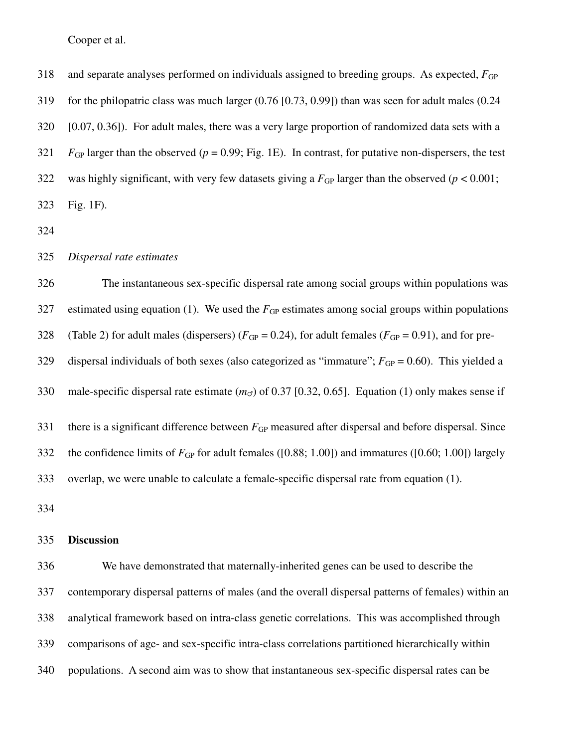318 and separate analyses performed on individuals assigned to breeding groups. As expected,  $F_{GP}$ 319 for the philopatric class was much larger (0.76 [0.73, 0.99]) than was seen for adult males (0.24 320 [0.07, 0.36]). For adult males, there was a very large proportion of randomized data sets with a 321 *F*<sub>GP</sub> larger than the observed ( $p = 0.99$ ; Fig. 1E). In contrast, for putative non-dispersers, the test 322 was highly significant, with very few datasets giving a  $F_{GP}$  larger than the observed ( $p < 0.001$ ; 323 Fig. 1F).

324

325 *Dispersal rate estimates* 

326 The instantaneous sex-specific dispersal rate among social groups within populations was 327 estimated using equation (1). We used the  $F_{GP}$  estimates among social groups within populations 328 (Table 2) for adult males (dispersers)  $(F_{GP} = 0.24)$ , for adult females  $(F_{GP} = 0.91)$ , and for pre-329 dispersal individuals of both sexes (also categorized as "immature";  $F_{GP} = 0.60$ ). This yielded a 330 male-specific dispersal rate estimate  $(m<sub>o</sub>)$  of 0.37 [0.32, 0.65]. Equation (1) only makes sense if 331 there is a significant difference between  $F_{GP}$  measured after dispersal and before dispersal. Since 332 the confidence limits of  $F_{GP}$  for adult females ([0.88; 1.00]) and immatures ([0.60; 1.00]) largely 333 overlap, we were unable to calculate a female-specific dispersal rate from equation (1).

334

#### 335 **Discussion**

336 We have demonstrated that maternally-inherited genes can be used to describe the 337 contemporary dispersal patterns of males (and the overall dispersal patterns of females) within an 338 analytical framework based on intra-class genetic correlations. This was accomplished through 339 comparisons of age- and sex-specific intra-class correlations partitioned hierarchically within 340 populations. A second aim was to show that instantaneous sex-specific dispersal rates can be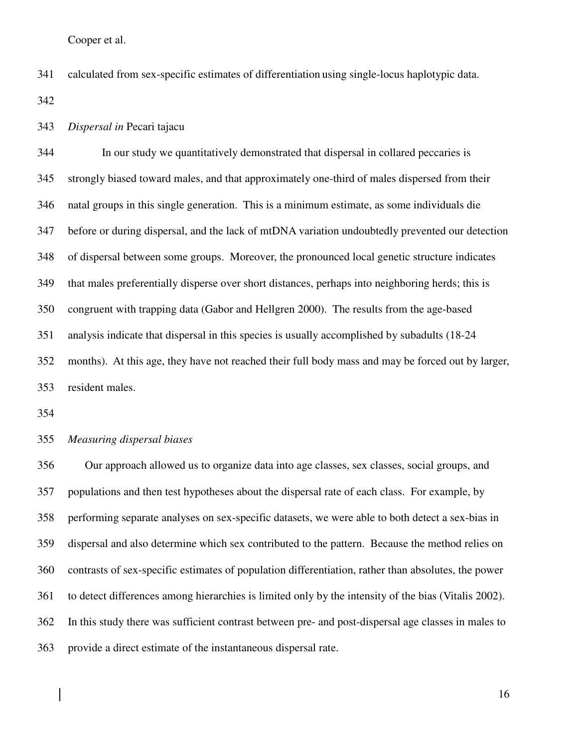341 calculated from sex-specific estimates of differentiation using single-locus haplotypic data.

342

#### 343 *Dispersal in* Pecari tajacu

344 In our study we quantitatively demonstrated that dispersal in collared peccaries is 345 strongly biased toward males, and that approximately one-third of males dispersed from their 346 natal groups in this single generation. This is a minimum estimate, as some individuals die 347 before or during dispersal, and the lack of mtDNA variation undoubtedly prevented our detection 348 of dispersal between some groups. Moreover, the pronounced local genetic structure indicates 349 that males preferentially disperse over short distances, perhaps into neighboring herds; this is 350 congruent with trapping data (Gabor and Hellgren 2000). The results from the age-based 351 analysis indicate that dispersal in this species is usually accomplished by subadults (18-24 352 months). At this age, they have not reached their full body mass and may be forced out by larger, 353 resident males.

354

#### 355 *Measuring dispersal biases*

356 Our approach allowed us to organize data into age classes, sex classes, social groups, and 357 populations and then test hypotheses about the dispersal rate of each class. For example, by 358 performing separate analyses on sex-specific datasets, we were able to both detect a sex-bias in 359 dispersal and also determine which sex contributed to the pattern. Because the method relies on 360 contrasts of sex-specific estimates of population differentiation, rather than absolutes, the power 361 to detect differences among hierarchies is limited only by the intensity of the bias (Vitalis 2002). 362 In this study there was sufficient contrast between pre- and post-dispersal age classes in males to 363 provide a direct estimate of the instantaneous dispersal rate.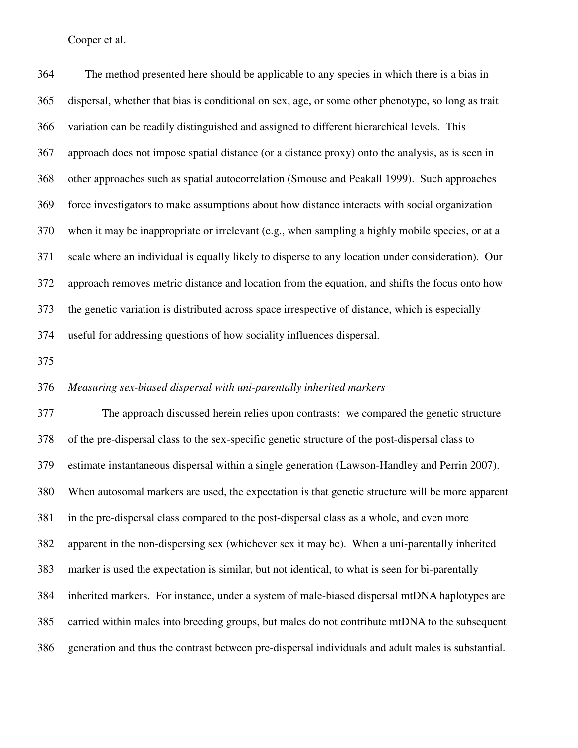364 The method presented here should be applicable to any species in which there is a bias in 365 dispersal, whether that bias is conditional on sex, age, or some other phenotype, so long as trait 366 variation can be readily distinguished and assigned to different hierarchical levels. This 367 approach does not impose spatial distance (or a distance proxy) onto the analysis, as is seen in 368 other approaches such as spatial autocorrelation (Smouse and Peakall 1999). Such approaches 369 force investigators to make assumptions about how distance interacts with social organization 370 when it may be inappropriate or irrelevant (e.g., when sampling a highly mobile species, or at a 371 scale where an individual is equally likely to disperse to any location under consideration). Our 372 approach removes metric distance and location from the equation, and shifts the focus onto how 373 the genetic variation is distributed across space irrespective of distance, which is especially 374 useful for addressing questions of how sociality influences dispersal.

375

#### 376 *Measuring sex-biased dispersal with uni-parentally inherited markers*

377 The approach discussed herein relies upon contrasts: we compared the genetic structure 378 of the pre-dispersal class to the sex-specific genetic structure of the post-dispersal class to 379 estimate instantaneous dispersal within a single generation (Lawson-Handley and Perrin 2007). 380 When autosomal markers are used, the expectation is that genetic structure will be more apparent 381 in the pre-dispersal class compared to the post-dispersal class as a whole, and even more 382 apparent in the non-dispersing sex (whichever sex it may be). When a uni-parentally inherited 383 marker is used the expectation is similar, but not identical, to what is seen for bi-parentally 384 inherited markers. For instance, under a system of male-biased dispersal mtDNA haplotypes are 385 carried within males into breeding groups, but males do not contribute mtDNA to the subsequent 386 generation and thus the contrast between pre-dispersal individuals and adult males is substantial.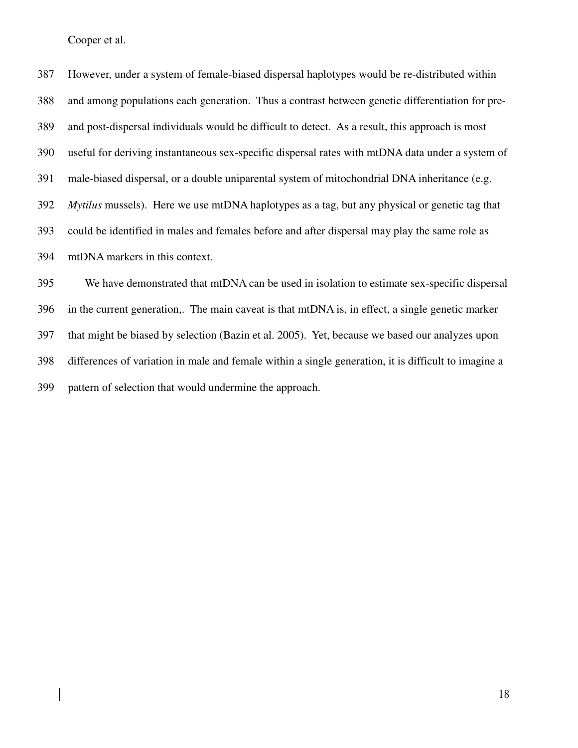387 However, under a system of female-biased dispersal haplotypes would be re-distributed within 388 and among populations each generation. Thus a contrast between genetic differentiation for pre-389 and post-dispersal individuals would be difficult to detect. As a result, this approach is most 390 useful for deriving instantaneous sex-specific dispersal rates with mtDNA data under a system of 391 male-biased dispersal, or a double uniparental system of mitochondrial DNA inheritance (e.g. 392 *Mytilus* mussels). Here we use mtDNA haplotypes as a tag, but any physical or genetic tag that 393 could be identified in males and females before and after dispersal may play the same role as 394 mtDNA markers in this context. 395 We have demonstrated that mtDNA can be used in isolation to estimate sex-specific dispersal 396 in the current generation,. The main caveat is that mtDNA is, in effect, a single genetic marker 397 that might be biased by selection (Bazin et al. 2005). Yet, because we based our analyzes upon

398 differences of variation in male and female within a single generation, it is difficult to imagine a

399 pattern of selection that would undermine the approach.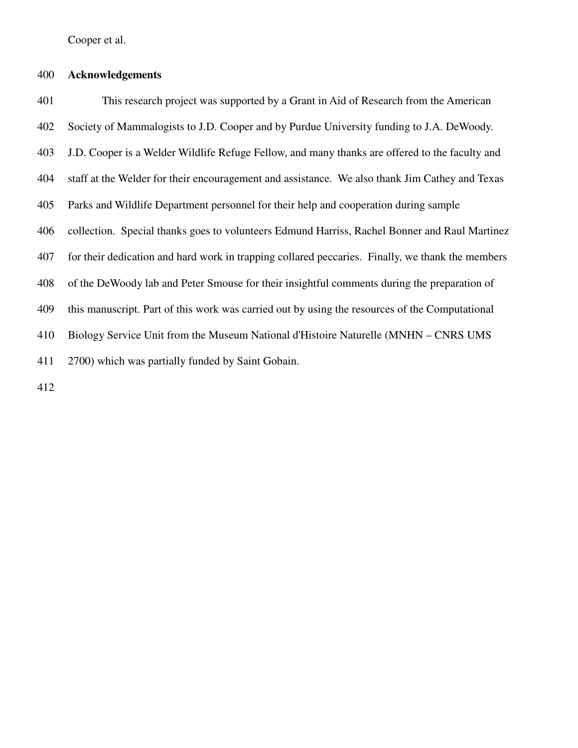### 400 **Acknowledgements**

401 This research project was supported by a Grant in Aid of Research from the American 402 Society of Mammalogists to J.D. Cooper and by Purdue University funding to J.A. DeWoody. 403 J.D. Cooper is a Welder Wildlife Refuge Fellow, and many thanks are offered to the faculty and 404 staff at the Welder for their encouragement and assistance. We also thank Jim Cathey and Texas 405 Parks and Wildlife Department personnel for their help and cooperation during sample 406 collection. Special thanks goes to volunteers Edmund Harriss, Rachel Bonner and Raul Martinez 407 for their dedication and hard work in trapping collared peccaries. Finally, we thank the members 408 of the DeWoody lab and Peter Smouse for their insightful comments during the preparation of 409 this manuscript. Part of this work was carried out by using the resources of the Computational 410 Biology Service Unit from the Museum National d'Histoire Naturelle (MNHN – CNRS UMS 411 2700) which was partially funded by Saint Gobain.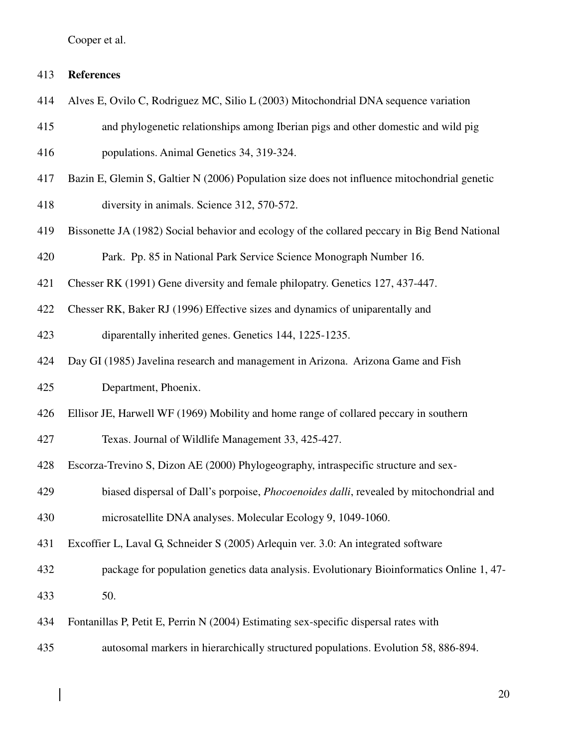### 413 **References**

- 414 Alves E, Ovilo C, Rodriguez MC, Silio L (2003) Mitochondrial DNA sequence variation
- 415 and phylogenetic relationships among Iberian pigs and other domestic and wild pig

416 populations. Animal Genetics 34, 319-324.

- 417 Bazin E, Glemin S, Galtier N (2006) Population size does not influence mitochondrial genetic
- 418 diversity in animals. Science 312, 570-572.
- 419 Bissonette JA (1982) Social behavior and ecology of the collared peccary in Big Bend National

420 Park. Pp. 85 in National Park Service Science Monograph Number 16.

- 421 Chesser RK (1991) Gene diversity and female philopatry. Genetics 127, 437-447.
- 422 Chesser RK, Baker RJ (1996) Effective sizes and dynamics of uniparentally and

423 diparentally inherited genes. Genetics 144, 1225-1235.

424 Day GI (1985) Javelina research and management in Arizona. Arizona Game and Fish

425 Department, Phoenix.

426 Ellisor JE, Harwell WF (1969) Mobility and home range of collared peccary in southern

427 Texas. Journal of Wildlife Management 33, 425-427.

428 Escorza-Trevino S, Dizon AE (2000) Phylogeography, intraspecific structure and sex-

429 biased dispersal of Dall's porpoise, *Phocoenoides dalli*, revealed by mitochondrial and

430 microsatellite DNA analyses. Molecular Ecology 9, 1049-1060.

431 Excoffier L, Laval G, Schneider S (2005) Arlequin ver. 3.0: An integrated software

432 package for population genetics data analysis. Evolutionary Bioinformatics Online 1, 47-

433 50.

- 434 Fontanillas P, Petit E, Perrin N (2004) Estimating sex-specific dispersal rates with
- 435 autosomal markers in hierarchically structured populations. Evolution 58, 886-894.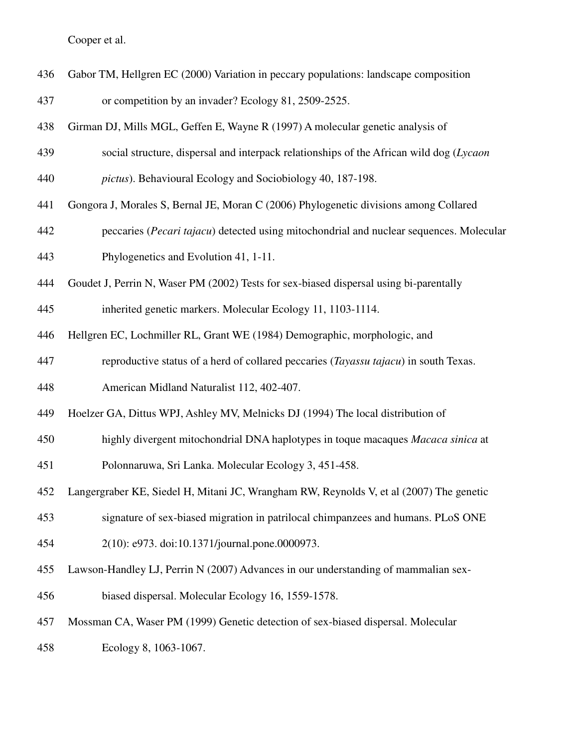436 Gabor TM, Hellgren EC (2000) Variation in peccary populations: landscape composition

437 or competition by an invader? Ecology 81, 2509-2525.

- 438 Girman DJ, Mills MGL, Geffen E, Wayne R (1997) A molecular genetic analysis of
- 439 social structure, dispersal and interpack relationships of the African wild dog (*Lycaon*
- 440 *pictus*). Behavioural Ecology and Sociobiology 40, 187-198.
- 441 Gongora J, Morales S, Bernal JE, Moran C (2006) Phylogenetic divisions among Collared
- 442 peccaries (*Pecari tajacu*) detected using mitochondrial and nuclear sequences. Molecular 443 Phylogenetics and Evolution 41, 1-11.
- 444 Goudet J, Perrin N, Waser PM (2002) Tests for sex-biased dispersal using bi-parentally
- 445 inherited genetic markers. Molecular Ecology 11, 1103-1114.
- 446 Hellgren EC, Lochmiller RL, Grant WE (1984) Demographic, morphologic, and
- 447 reproductive status of a herd of collared peccaries (*Tayassu tajacu*) in south Texas.
- 448 American Midland Naturalist 112, 402-407.
- 449 Hoelzer GA, Dittus WPJ, Ashley MV, Melnicks DJ (1994) The local distribution of
- 450 highly divergent mitochondrial DNA haplotypes in toque macaques *Macaca sinica* at
- 451 Polonnaruwa, Sri Lanka. Molecular Ecology 3, 451-458.
- 452 Langergraber KE, Siedel H, Mitani JC, Wrangham RW, Reynolds V, et al (2007) The genetic
- 453 signature of sex-biased migration in patrilocal chimpanzees and humans. PLoS ONE
- 454 2(10): e973. doi:10.1371/journal.pone.0000973.
- 455 Lawson-Handley LJ, Perrin N (2007) Advances in our understanding of mammalian sex-
- 456 biased dispersal. Molecular Ecology 16, 1559-1578.
- 457 Mossman CA, Waser PM (1999) Genetic detection of sex-biased dispersal. Molecular
- 458 Ecology 8, 1063-1067.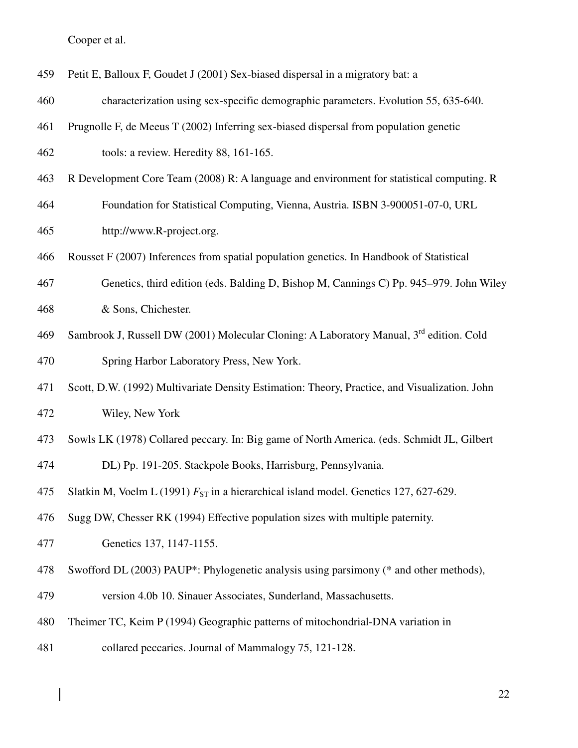$\begin{array}{|c|c|} \hline \rule{0pt}{12pt} \rule{0pt}{2.5pt} \rule{0pt}{2.5pt} \rule{0pt}{2.5pt} \rule{0pt}{2.5pt} \rule{0pt}{2.5pt} \rule{0pt}{2.5pt} \rule{0pt}{2.5pt} \rule{0pt}{2.5pt} \rule{0pt}{2.5pt} \rule{0pt}{2.5pt} \rule{0pt}{2.5pt} \rule{0pt}{2.5pt} \rule{0pt}{2.5pt} \rule{0pt}{2.5pt} \rule{0pt}{2.5pt} \rule{0pt}{2.5pt} \rule{0pt}{2.5pt} \rule{0pt}{2.5$ 

| 459 | Petit E, Balloux F, Goudet J (2001) Sex-biased dispersal in a migratory bat: a                      |
|-----|-----------------------------------------------------------------------------------------------------|
| 460 | characterization using sex-specific demographic parameters. Evolution 55, 635-640.                  |
| 461 | Prugnolle F, de Meeus T (2002) Inferring sex-biased dispersal from population genetic               |
| 462 | tools: a review. Heredity 88, 161-165.                                                              |
| 463 | R Development Core Team (2008) R: A language and environment for statistical computing. R           |
| 464 | Foundation for Statistical Computing, Vienna, Austria. ISBN 3-900051-07-0, URL                      |
| 465 | http://www.R-project.org.                                                                           |
| 466 | Rousset F (2007) Inferences from spatial population genetics. In Handbook of Statistical            |
| 467 | Genetics, third edition (eds. Balding D, Bishop M, Cannings C) Pp. 945–979. John Wiley              |
| 468 | & Sons, Chichester.                                                                                 |
| 469 | Sambrook J, Russell DW (2001) Molecular Cloning: A Laboratory Manual, 3 <sup>rd</sup> edition. Cold |
| 470 | Spring Harbor Laboratory Press, New York.                                                           |
| 471 | Scott, D.W. (1992) Multivariate Density Estimation: Theory, Practice, and Visualization. John       |
| 472 | Wiley, New York                                                                                     |
| 473 | Sowls LK (1978) Collared peccary. In: Big game of North America. (eds. Schmidt JL, Gilbert          |
| 474 | DL) Pp. 191-205. Stackpole Books, Harrisburg, Pennsylvania.                                         |
| 475 | Slatkin M, Voelm L (1991) $F_{ST}$ in a hierarchical island model. Genetics 127, 627-629.           |
| 476 | Sugg DW, Chesser RK (1994) Effective population sizes with multiple paternity.                      |
| 477 | Genetics 137, 1147-1155.                                                                            |
| 478 | Swofford DL (2003) PAUP*: Phylogenetic analysis using parsimony (* and other methods),              |
| 479 | version 4.0b 10. Sinauer Associates, Sunderland, Massachusetts.                                     |
| 480 | Theimer TC, Keim P (1994) Geographic patterns of mitochondrial-DNA variation in                     |
| 481 | collared peccaries. Journal of Mammalogy 75, 121-128.                                               |
|     |                                                                                                     |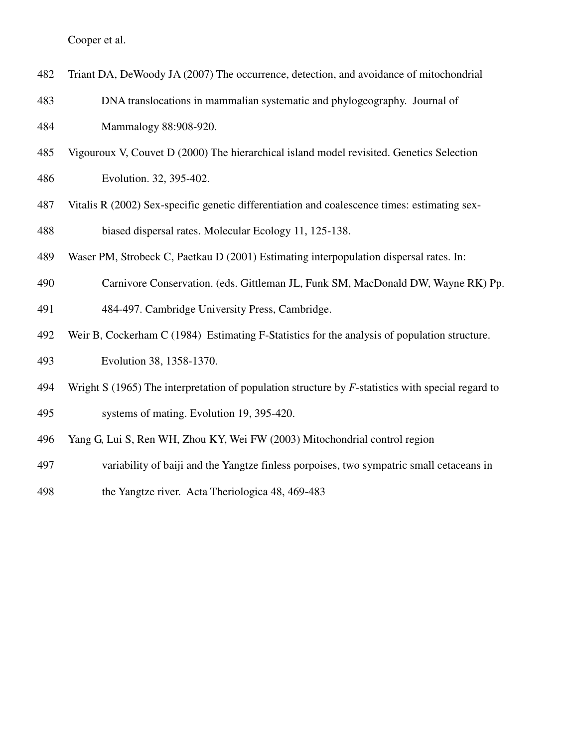- 482 Triant DA, DeWoody JA (2007) The occurrence, detection, and avoidance of mitochondrial
- 483 DNA translocations in mammalian systematic and phylogeography. Journal of 484 Mammalogy 88:908-920.
- 485 Vigouroux V, Couvet D (2000) The hierarchical island model revisited. Genetics Selection
- 486 Evolution. 32, 395-402.
- 487 Vitalis R (2002) Sex-specific genetic differentiation and coalescence times: estimating sex-488 biased dispersal rates. Molecular Ecology 11, 125-138.
- 489 Waser PM, Strobeck C, Paetkau D (2001) Estimating interpopulation dispersal rates. In:
- 490 Carnivore Conservation. (eds. Gittleman JL, Funk SM, MacDonald DW, Wayne RK) Pp.
- 491 484-497. Cambridge University Press, Cambridge.
- 492 Weir B, Cockerham C (1984) Estimating F-Statistics for the analysis of population structure.

493 Evolution 38, 1358-1370.

- 494 Wright S (1965) The interpretation of population structure by *F*-statistics with special regard to 495 systems of mating. Evolution 19, 395-420.
- 496 Yang G, Lui S, Ren WH, Zhou KY, Wei FW (2003) Mitochondrial control region
- 497 variability of baiji and the Yangtze finless porpoises, two sympatric small cetaceans in
- 498 the Yangtze river. Acta Theriologica 48, 469-483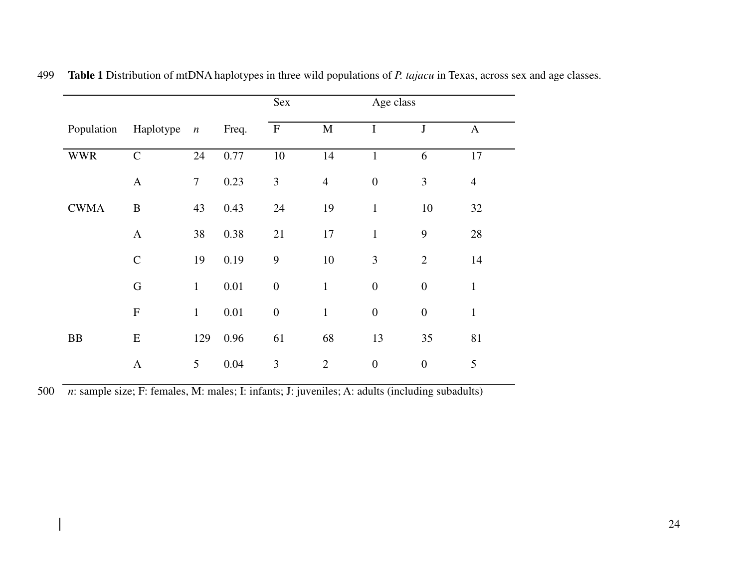|             |               |              |          | Sex              |                | Age class        |                  |                |
|-------------|---------------|--------------|----------|------------------|----------------|------------------|------------------|----------------|
| Population  | Haplotype     | $\sqrt{n}$   | Freq.    | $\mathbf{F}$     | $\mathbf M$    | $\bf I$          | $\bf J$          | $\mathbf{A}$   |
| <b>WWR</b>  | $\mathcal{C}$ | 24           | 0.77     | $10\,$           | 14             | $\mathbf{1}$     | 6                | $17\,$         |
|             | $\mathbf{A}$  | $\tau$       | 0.23     | 3                | $\overline{4}$ | $\boldsymbol{0}$ | 3                | $\overline{4}$ |
| <b>CWMA</b> | $\bf{B}$      | 43           | 0.43     | 24               | 19             | $\mathbf{1}$     | 10               | 32             |
|             | $\mathbf{A}$  | 38           | 0.38     | 21               | 17             | $\mathbf{1}$     | $\boldsymbol{9}$ | 28             |
|             | $\mathbf C$   | 19           | 0.19     | 9                | 10             | 3                | $\overline{2}$   | 14             |
|             | $\mathbf G$   | $\mathbf{1}$ | 0.01     | $\boldsymbol{0}$ | $\mathbf{1}$   | $\boldsymbol{0}$ | $\boldsymbol{0}$ | $\mathbf{1}$   |
|             | ${\bf F}$     | $\mathbf{1}$ | $0.01\,$ | $\boldsymbol{0}$ | $\mathbf{1}$   | $\boldsymbol{0}$ | $\boldsymbol{0}$ | $\mathbf{1}$   |
| ${\rm BB}$  | ${\bf E}$     | 129          | 0.96     | 61               | 68             | 13               | 35               | 81             |
|             | $\mathbf{A}$  | 5            | 0.04     | $\mathfrak{Z}$   | $\overline{2}$ | $\boldsymbol{0}$ | $\boldsymbol{0}$ | 5              |

499 **Table 1** Distribution of mtDNA haplotypes in three wild populations of *P. tajacu* in Texas, across sex and age classes.

500 *n*: sample size; F: females, M: males; I: infants; J: juveniles; A: adults (including subadults)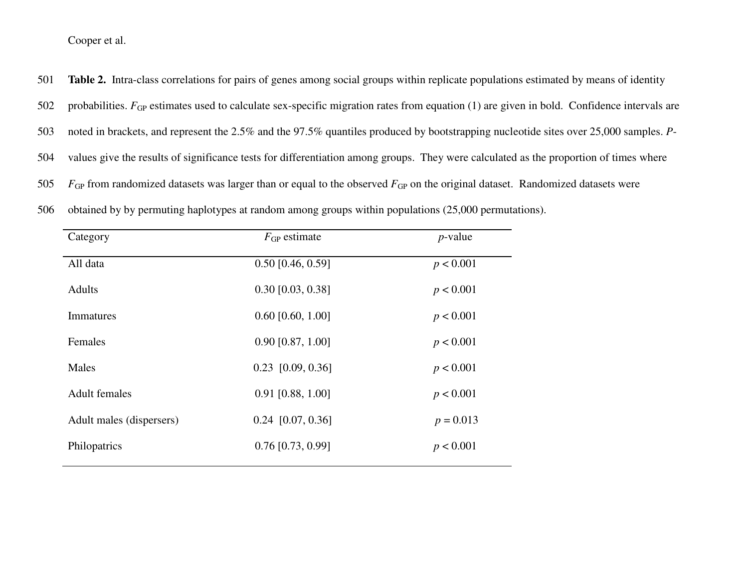501 **Table 2.** Intra-class correlations for pairs of genes among social groups within replicate populations estimated by means of identity

- 502 probabilities. *F*<sub>GP</sub> estimates used to calculate sex-specific migration rates from equation (1) are given in bold. Confidence intervals are
- 503 noted in brackets, and represent the 2.5% and the 97.5% quantiles produced by bootstrapping nucleotide sites over 25,000 samples. *P*-
- 504 values give the results of significance tests for differentiation among groups. They were calculated as the proportion of times where
- 505  $F<sub>GP</sub>$  from randomized datasets was larger than or equal to the observed  $F<sub>GP</sub>$  on the original dataset. Randomized datasets were

| 506 |  |  |  | obtained by by permuting haplotypes at random among groups within populations (25,000 permutations). |  |  |
|-----|--|--|--|------------------------------------------------------------------------------------------------------|--|--|
|-----|--|--|--|------------------------------------------------------------------------------------------------------|--|--|

| Category                 | $F_{GP}$ estimate   | $p$ -value  |
|--------------------------|---------------------|-------------|
| All data                 | $0.50$ [0.46, 0.59] | p < 0.001   |
| <b>Adults</b>            | $0.30$ [0.03, 0.38] | p < 0.001   |
| Immatures                | $0.60$ [0.60, 1.00] | p < 0.001   |
| Females                  | $0.90$ [0.87, 1.00] | p < 0.001   |
| Males                    | $0.23$ [0.09, 0.36] | p < 0.001   |
| <b>Adult females</b>     | $0.91$ [0.88, 1.00] | p < 0.001   |
| Adult males (dispersers) | $0.24$ [0.07, 0.36] | $p = 0.013$ |
| Philopatrics             | $0.76$ [0.73, 0.99] | p < 0.001   |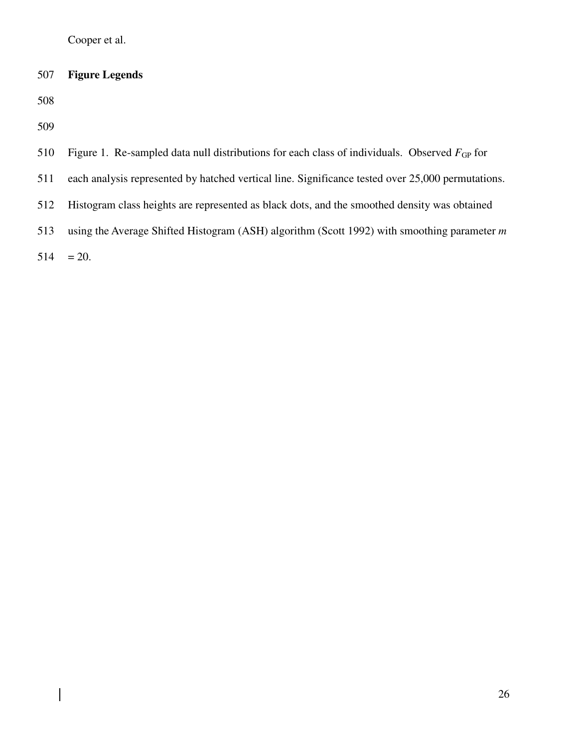# 507 **Figure Legends**

508

509

 $\overline{\phantom{a}}$ 

| 510 | Figure 1. Re-sampled data null distributions for each class of individuals. Observed $F_{GP}$ for |
|-----|---------------------------------------------------------------------------------------------------|
| 511 | each analysis represented by hatched vertical line. Significance tested over 25,000 permutations. |
| 512 | Histogram class heights are represented as black dots, and the smoothed density was obtained      |
| 513 | using the Average Shifted Histogram (ASH) algorithm (Scott 1992) with smoothing parameter $m$     |
|     | $514 = 20.$                                                                                       |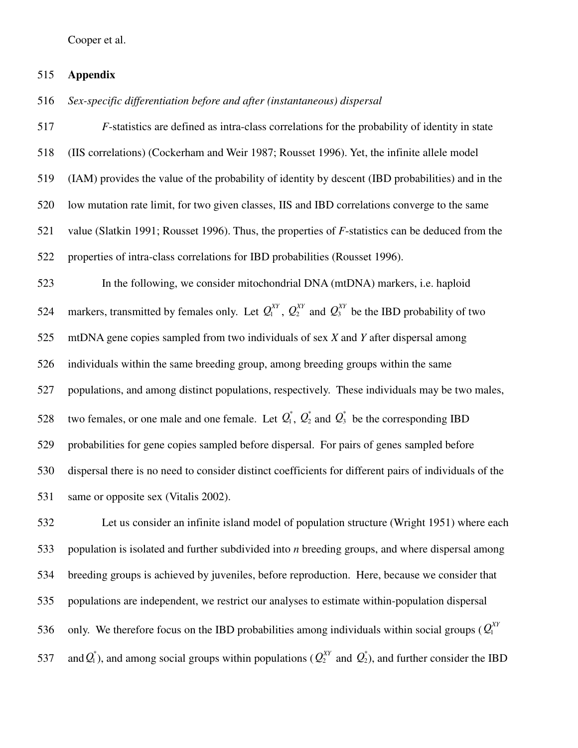#### 515 **Appendix**

516 *Sex-specific differentiation before and after (instantaneous) dispersal* 

517 *F*-statistics are defined as intra-class correlations for the probability of identity in state 518 (IIS correlations) (Cockerham and Weir 1987; Rousset 1996). Yet, the infinite allele model 519 (IAM) provides the value of the probability of identity by descent (IBD probabilities) and in the 520 low mutation rate limit, for two given classes, IIS and IBD correlations converge to the same 521 value (Slatkin 1991; Rousset 1996). Thus, the properties of *F*-statistics can be deduced from the 522 properties of intra-class correlations for IBD probabilities (Rousset 1996). 523 In the following, we consider mitochondrial DNA (mtDNA) markers, i.e. haploid 524 markers, transmitted by females only. Let  $Q_1^{XY}$ ,  $Q_2^{XY}$  and  $Q_3^{XY}$  be the IBD probability of two 525 mtDNA gene copies sampled from two individuals of sex *X* and *Y* after dispersal among 526 individuals within the same breeding group, among breeding groups within the same 527 populations, and among distinct populations, respectively. These individuals may be two males, 528 two females, or one male and one female. Let  $Q_1^*$ ,  $Q_2^*$  and  $Q_3^*$  be the corresponding IBD 529 probabilities for gene copies sampled before dispersal. For pairs of genes sampled before 530 dispersal there is no need to consider distinct coefficients for different pairs of individuals of the 531 same or opposite sex (Vitalis 2002).

532 Let us consider an infinite island model of population structure (Wright 1951) where each 533 population is isolated and further subdivided into *n* breeding groups, and where dispersal among 534 breeding groups is achieved by juveniles, before reproduction. Here, because we consider that 535 populations are independent, we restrict our analyses to estimate within-population dispersal 536 only. We therefore focus on the IBD probabilities among individuals within social groups ( $Q_1^{XY}$ 537 and  $Q_1^*$ ), and among social groups within populations ( $Q_2^{XY}$  and  $Q_2^*$ ), and further consider the IBD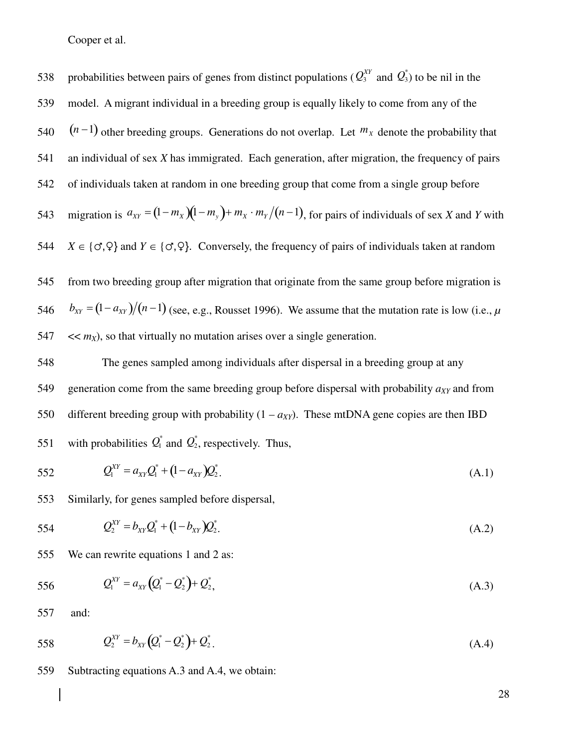538 probabilities between pairs of genes from distinct populations ( $Q_3^{XY}$  and  $Q_3^*$ ) to be nil in the 539 model. A migrant individual in a breeding group is equally likely to come from any of the 540  $(n-1)$  other breeding groups. Generations do not overlap. Let  $m<sub>x</sub>$  denote the probability that 541 an individual of sex *X* has immigrated. Each generation, after migration, the frequency of pairs 542 of individuals taken at random in one breeding group that come from a single group before 543 migration is  $a_{XY} = (1 - m_X)(1 - m_Y) + m_X \cdot m_Y/(n - 1)$ , for pairs of individuals of sex *X* and *Y* with 544 *X* ∈ {*o*<sup>7</sup>,  $\varphi$ } and *Y* ∈ {*o*<sup>7</sup>, $\varphi$ }. Conversely, the frequency of pairs of individuals taken at random 545 from two breeding group after migration that originate from the same group before migration is  $b_{XY} = (1 - a_{XY})/(n - 1)$  (see, e.g., Rousset 1996). We assume that the mutation rate is low (i.e., *µ* 547  $\langle \langle m_x \rangle$ , so that virtually no mutation arises over a single generation.

548 The genes sampled among individuals after dispersal in a breeding group at any 549 generation come from the same breeding group before dispersal with probability  $a_{XY}$  and from 550 different breeding group with probability  $(1 - a_{XY})$ . These mtDNA gene copies are then IBD 551 with probabilities  $Q_1^*$  and  $Q_2^*$ , respectively. Thus,

552 
$$
Q_1^{XY} = a_{XY}Q_1^* + (1 - a_{XY})Q_2^*.
$$
 (A.1)

553 Similarly, for genes sampled before dispersal,

554 
$$
Q_2^{XY} = b_{XY}Q_1^* + (1 - b_{XY})Q_2^*.
$$
 (A.2)

555 We can rewrite equations 1 and 2 as:

556 
$$
Q_1^{XY} = a_{XY} (Q_1^* - Q_2^*) + Q_2^*,
$$
 (A.3)

557 and:

558 
$$
Q_2^{XY} = b_{XY}(Q_1^* - Q_2^*) + Q_2^*
$$
 (A.4)

559 Subtracting equations A.3 and A.4, we obtain: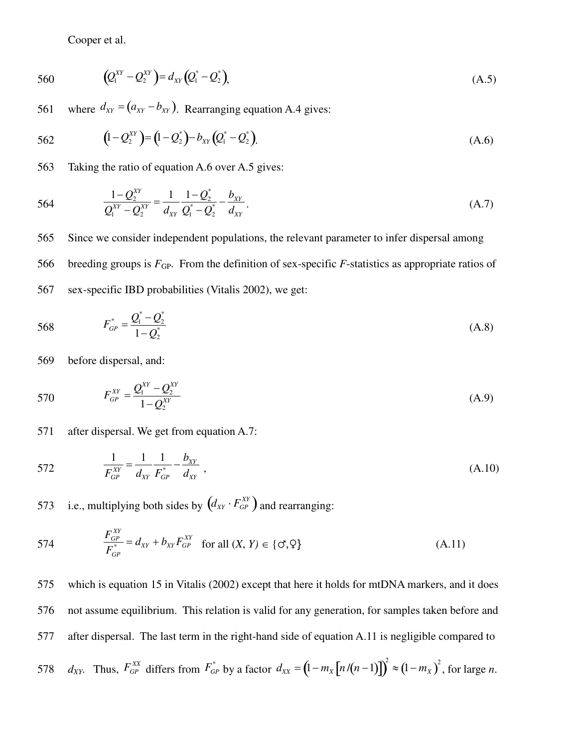560 
$$
(Q_1^{XY} - Q_2^{XY}) = d_{XY}(Q_1^* - Q_2^*),
$$
 (A.5)

561 where  $d_{XY} = (a_{XY} - b_{XY})$ . Rearranging equation A.4 gives:

562 
$$
(1 - Q_2^{XY}) = (1 - Q_2^*) - b_{XY}(Q_1^* - Q_2^*).
$$
 (A.6)

563 Taking the ratio of equation A.6 over A.5 gives:

564 
$$
\frac{1 - Q_2^{XY}}{Q_1^{XY} - Q_2^{XY}} = \frac{1}{d_{XY}} \frac{1 - Q_2^*}{Q_1^* - Q_2^*} - \frac{b_{XY}}{d_{XY}}.
$$
 (A.7)

565 Since we consider independent populations, the relevant parameter to infer dispersal among 566 breeding groups is  $F_{GP}$ . From the definition of sex-specific  $F$ -statistics as appropriate ratios of 567 sex-specific IBD probabilities (Vitalis 2002), we get:

568 
$$
F_{GP}^* = \frac{Q_1^* - Q_2^*}{1 - Q_2^*}
$$
 (A.8)

569 before dispersal, and:

570 
$$
F_{GP}^{XY} = \frac{Q_1^{XY} - Q_2^{XY}}{1 - Q_2^{XY}}
$$
 (A.9)

571 after dispersal. We get from equation A.7:

572 
$$
\frac{1}{F_{GP}^{XY}} = \frac{1}{d_{XY}} \frac{1}{F_{GP}^{*}} - \frac{b_{XY}}{d_{XY}},
$$
(A.10)

573 i.e., multiplying both sides by  $(d_{XY} \cdot F_{GP}^{XY})$  and rearranging:

574 
$$
\frac{F_{GP}^{XY}}{F_{GP}^{*}} = d_{XY} + b_{XY} F_{GP}^{XY} \text{ for all } (X, Y) \in \{\sigma, \varphi\}
$$
 (A.11)

575 which is equation 15 in Vitalis (2002) except that here it holds for mtDNA markers, and it does 576 not assume equilibrium. This relation is valid for any generation, for samples taken before and 577 after dispersal. The last term in the right-hand side of equation A.11 is negligible compared to 578  $d_{XY}$ . Thus,  $F_{GP}^{XX}$  differs from  $F_{GP}^{*}$  by a factor  $d_{XX} = (1 - m_X [n/(n-1)])^2 \approx (1 - m_X)^2$ , for large n.